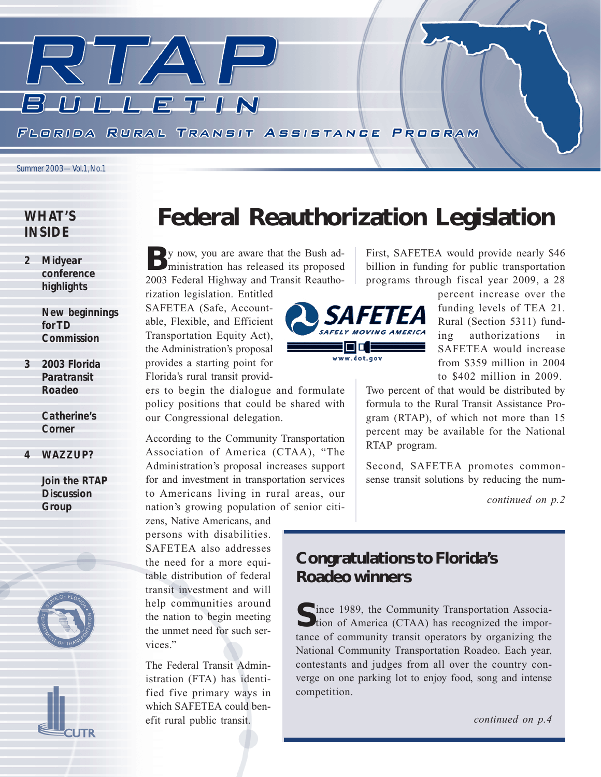

### *WHAT'S INSIDE*

*2 Midyear conference highlights*

> *New beginnings for TD Commission*

*3 2003 Florida Paratransit Roadeo*

> *Catherine's Corner*

*4 WAZZUP?*

*Join the RTAP Discussion Group*



# *Federal Reauthorization Legislation*

By now, you are aware that the Bush ad-<br>ministration has released its proposed 2003 Federal Highway and Transit Reautho-

rization legislation. Entitled SAFETEA (Safe, Accountable, Flexible, and Efficient Transportation Equity Act), the Administration's proposal provides a starting point for Florida's rural transit provid-

ers to begin the dialogue and formulate policy positions that could be shared with our Congressional delegation.

According to the Community Transportation Association of America (CTAA), "The Administration's proposal increases support for and investment in transportation services to Americans living in rural areas, our nation's growing population of senior citi-

zens, Native Americans, and persons with disabilities. SAFETEA also addresses the need for a more equitable distribution of federal transit investment and will help communities around the nation to begin meeting the unmet need for such services."

The Federal Transit Administration (FTA) has identified five primary ways in which SAFETEA could benefit rural public transit.



First, SAFETEA would provide nearly \$46 billion in funding for public transportation programs through fiscal year 2009, a 28

> percent increase over the funding levels of TEA 21. Rural (Section 5311) funding authorizations in SAFETEA would increase from \$359 million in 2004 to \$402 million in 2009.

Two percent of that would be distributed by formula to the Rural Transit Assistance Program (RTAP), of which not more than 15 percent may be available for the National RTAP program.

Second, SAFETEA promotes commonsense transit solutions by reducing the num-

*continued on p.2*

## *Congratulations to Florida's Roadeo winners*

**C**ince 1989, the Community Transportation Associa-Ution of America (CTAA) has recognized the importance of community transit operators by organizing the National Community Transportation Roadeo. Each year, contestants and judges from all over the country converge on one parking lot to enjoy food, song and intense competition.

*continued on p.4*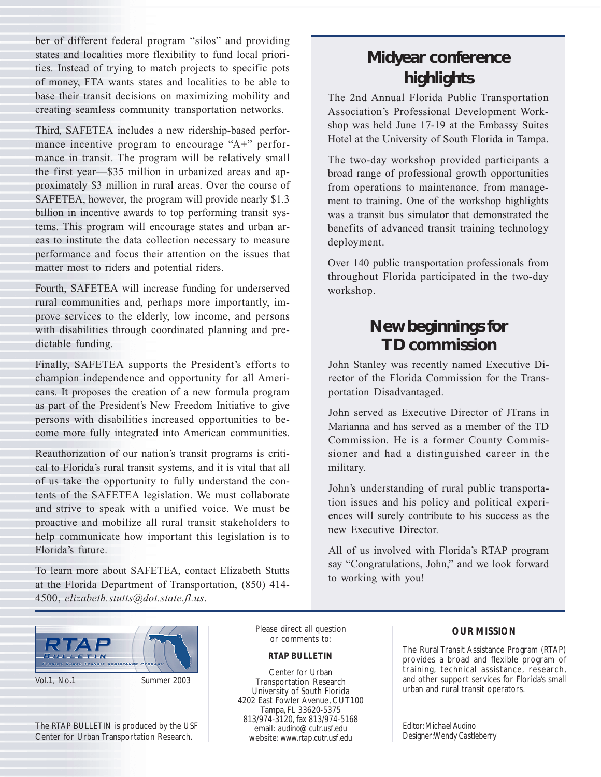ber of different federal program "silos" and providing states and localities more flexibility to fund local priorities. Instead of trying to match projects to specific pots of money, FTA wants states and localities to be able to base their transit decisions on maximizing mobility and creating seamless community transportation networks.

Third, SAFETEA includes a new ridership-based performance incentive program to encourage "A+" performance in transit. The program will be relatively small the first year—\$35 million in urbanized areas and approximately \$3 million in rural areas. Over the course of SAFETEA, however, the program will provide nearly \$1.3 billion in incentive awards to top performing transit systems. This program will encourage states and urban areas to institute the data collection necessary to measure performance and focus their attention on the issues that matter most to riders and potential riders.

Fourth, SAFETEA will increase funding for underserved rural communities and, perhaps more importantly, improve services to the elderly, low income, and persons with disabilities through coordinated planning and predictable funding.

Finally, SAFETEA supports the President's efforts to champion independence and opportunity for all Americans. It proposes the creation of a new formula program as part of the President's New Freedom Initiative to give persons with disabilities increased opportunities to become more fully integrated into American communities.

Reauthorization of our nation's transit programs is critical to Florida's rural transit systems, and it is vital that all of us take the opportunity to fully understand the contents of the SAFETEA legislation. We must collaborate and strive to speak with a unified voice. We must be proactive and mobilize all rural transit stakeholders to help communicate how important this legislation is to Florida's future.

To learn more about SAFETEA, contact Elizabeth Stutts at the Florida Department of Transportation, (850) 414- 4500, *elizabeth.stutts@dot.state.fl.us*.

# *Midyear conference highlights*

The 2nd Annual Florida Public Transportation Association's Professional Development Workshop was held June 17-19 at the Embassy Suites Hotel at the University of South Florida in Tampa.

The two-day workshop provided participants a broad range of professional growth opportunities from operations to maintenance, from management to training. One of the workshop highlights was a transit bus simulator that demonstrated the benefits of advanced transit training technology deployment.

Over 140 public transportation professionals from throughout Florida participated in the two-day workshop.

# *New beginnings for TD commission*

John Stanley was recently named Executive Director of the Florida Commission for the Transportation Disadvantaged.

John served as Executive Director of JTrans in Marianna and has served as a member of the TD Commission. He is a former County Commissioner and had a distinguished career in the military.

John's understanding of rural public transportation issues and his policy and political experiences will surely contribute to his success as the new Executive Director.

All of us involved with Florida's RTAP program say "Congratulations, John," and we look forward to working with you!



Vol.1, No.1 Summer 2003

The RTAP BULLETIN is produced by the USF Center for Urban Transportation Research.

Please direct all question or comments to:

#### *RTAP BULLETIN*

Center for Urban Transportation Research University of South Florida 4202 East Fowler Avenue, CUT100 Tampa, FL 33620-5375 813/974-3120, fax 813/974-5168 email: *audino@cutr.usf.edu* website: *www.rtap.cutr.usf.edu*

### *OUR MISSION*

The Rural Transit Assistance Program (RTAP) provides a broad and flexible program of training, technical assistance, research, and other support services for Florida's small urban and rural transit operators.

*Editor: Michael Audino Designer: Wendy Castleberry*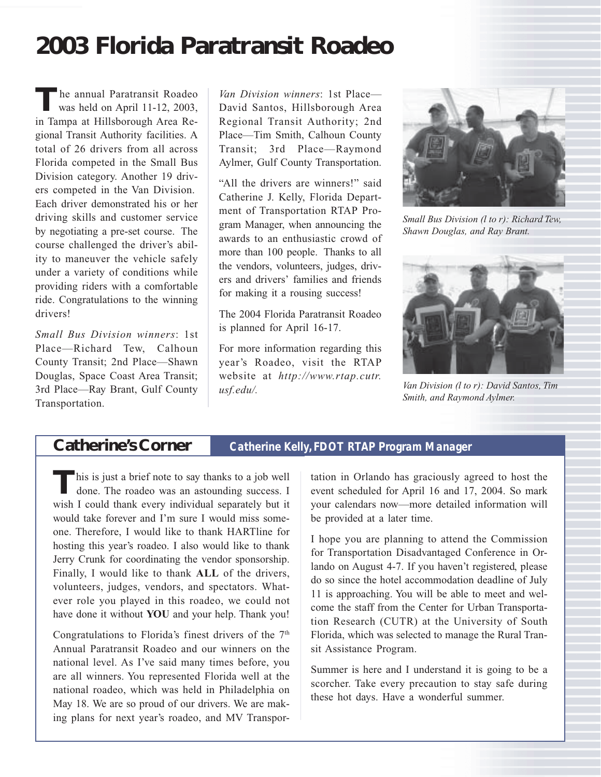# *2003 Florida Paratransit Roadeo*

The annual Paratransit Roadeo<br>was held on April 11-12, 2003, in Tampa at Hillsborough Area Regional Transit Authority facilities. A total of 26 drivers from all across Florida competed in the Small Bus Division category. Another 19 drivers competed in the Van Division. Each driver demonstrated his or her driving skills and customer service by negotiating a pre-set course. The course challenged the driver's ability to maneuver the vehicle safely under a variety of conditions while providing riders with a comfortable ride. Congratulations to the winning drivers!

*Small Bus Division winners*: 1st Place—Richard Tew, Calhoun County Transit; 2nd Place—Shawn Douglas, Space Coast Area Transit; 3rd Place—Ray Brant, Gulf County Transportation.

*Van Division winners*: 1st Place— David Santos, Hillsborough Area Regional Transit Authority; 2nd Place—Tim Smith, Calhoun County Transit; 3rd Place—Raymond Aylmer, Gulf County Transportation.

"All the drivers are winners!" said Catherine J. Kelly, Florida Department of Transportation RTAP Program Manager, when announcing the awards to an enthusiastic crowd of more than 100 people. Thanks to all the vendors, volunteers, judges, drivers and drivers' families and friends for making it a rousing success!

The 2004 Florida Paratransit Roadeo is planned for April 16-17.

For more information regarding this year's Roadeo, visit the RTAP website at *http://www.rtap.cutr. usf.edu/. Van Division (l to r): David Santos, Tim*



*Small Bus Division (l to r): Richard Tew, Shawn Douglas, and Ray Brant.*



*Smith, and Raymond Aylmer.*

## *Catherine's Corner Catherine Kelly, FDOT RTAP Program Manager*

This is just a brief note to say thanks to a job well done. The roadeo was an astounding success. I wish I could thank every individual separately but it would take forever and I'm sure I would miss someone. Therefore, I would like to thank HARTline for hosting this year's roadeo. I also would like to thank Jerry Crunk for coordinating the vendor sponsorship. Finally, I would like to thank **ALL** of the drivers, volunteers, judges, vendors, and spectators. Whatever role you played in this roadeo, we could not have done it without **YOU** and your help. Thank you!

Congratulations to Florida's finest drivers of the  $7<sup>th</sup>$ Annual Paratransit Roadeo and our winners on the national level. As I've said many times before, you are all winners. You represented Florida well at the national roadeo, which was held in Philadelphia on May 18. We are so proud of our drivers. We are making plans for next year's roadeo, and MV Transportation in Orlando has graciously agreed to host the event scheduled for April 16 and 17, 2004. So mark your calendars now—more detailed information will be provided at a later time.

I hope you are planning to attend the Commission for Transportation Disadvantaged Conference in Orlando on August 4-7. If you haven't registered, please do so since the hotel accommodation deadline of July 11 is approaching. You will be able to meet and welcome the staff from the Center for Urban Transportation Research (CUTR) at the University of South Florida, which was selected to manage the Rural Transit Assistance Program.

Summer is here and I understand it is going to be a scorcher. Take every precaution to stay safe during these hot days. Have a wonderful summer.